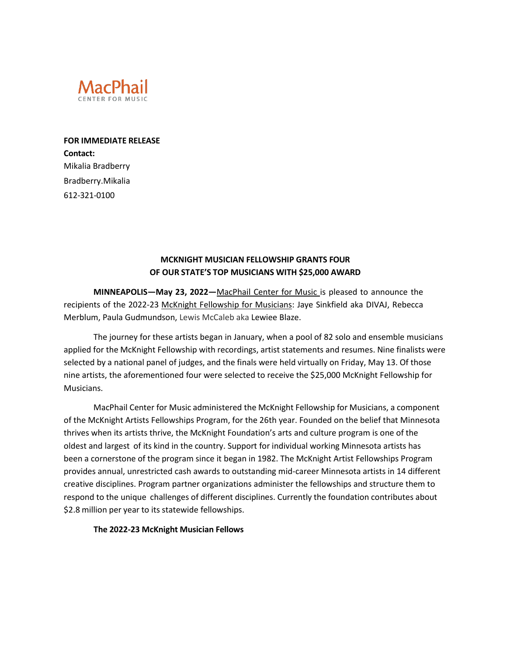

# **FOR IMMEDIATE RELEASE Contact:** Mikalia Bradberry Bradberry.Mikalia 612-321-0100

# **MCKNIGHT MUSICIAN FELLOWSHIP GRANTS FOUR OF OUR STATE'S TOP MUSICIANS WITH \$25,000 AWARD**

**MINNEAPOLIS—May 23, 2022—**[MacPhail](http://www.macphail.org/) Center for Music is pleased to announce the recipients of the 2022-23 McKnight [Fellowship](https://www.macphail.org/mcknight-fellowships/) for Musicians: Jaye Sinkfield aka DIVAJ, Rebecca Merblum, Paula Gudmundson, Lewis McCaleb aka Lewiee Blaze.

The journey for these artists began in January, when a pool of 82 solo and ensemble musicians applied for the McKnight Fellowship with recordings, artist statements and resumes. Nine finalists were selected by a national panel of judges, and the finals were held virtually on Friday, May 13. Of those nine artists, the aforementioned four were selected to receive the \$25,000 McKnight Fellowship for Musicians.

MacPhail Center for Music administered the McKnight Fellowship for Musicians, a component of the McKnight Artists Fellowships Program, for the 26th year. Founded on the belief that Minnesota thrives when its artists thrive, the McKnight Foundation's arts and culture program is one of the oldest and largest of its kind in the country. Support for individual working Minnesota artists has been a cornerstone of the program since it began in 1982. The McKnight Artist Fellowships Program provides annual, unrestricted cash awards to outstanding mid-career Minnesota artists in 14 different creative disciplines. Program partner organizations administer the fellowships and structure them to respond to the unique challenges of different disciplines. Currently the foundation contributes about \$2.8 million per year to its statewide fellowships.

#### **The 2022-23 McKnight Musician Fellows**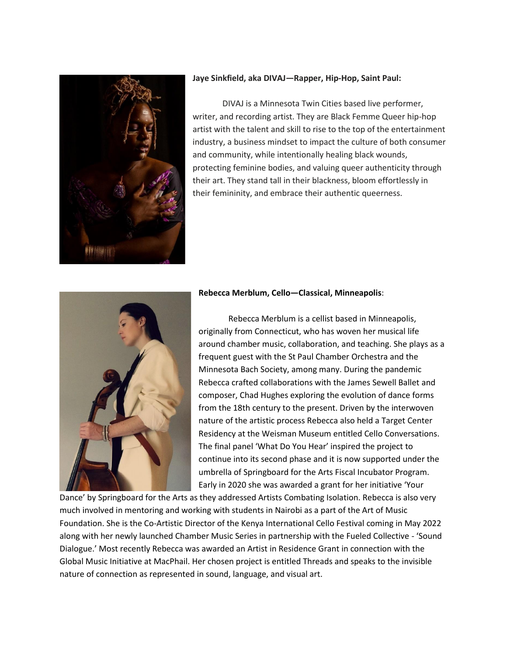

#### **Jaye Sinkfield, aka DIVAJ—Rapper, Hip-Hop, Saint Paul:**

DIVAJ is a Minnesota Twin Cities based live performer, writer, and recording artist. They are Black Femme Queer hip-hop artist with the talent and skill to rise to the top of the entertainment industry, a business mindset to impact the culture of both consumer and community, while intentionally healing black wounds, protecting feminine bodies, and valuing queer authenticity through their art. They stand tall in their blackness, bloom effortlessly in their femininity, and embrace their authentic queerness.



### **Rebecca Merblum, Cello—Classical, Minneapolis**:

Rebecca Merblum is a cellist based in Minneapolis, originally from Connecticut, who has woven her musical life around chamber music, collaboration, and teaching. She plays as a frequent guest with the St Paul Chamber Orchestra and the Minnesota Bach Society, among many. During the pandemic Rebecca crafted collaborations with the James Sewell Ballet and composer, Chad Hughes exploring the evolution of dance forms from the 18th century to the present. Driven by the interwoven nature of the artistic process Rebecca also held a Target Center Residency at the Weisman Museum entitled Cello Conversations. The final panel 'What Do You Hear' inspired the project to continue into its second phase and it is now supported under the umbrella of Springboard for the Arts Fiscal Incubator Program. Early in 2020 she was awarded a grant for her initiative 'Your

Dance' by Springboard for the Arts as they addressed Artists Combating Isolation. Rebecca is also very much involved in mentoring and working with students in Nairobi as a part of the Art of Music Foundation. She is the Co-Artistic Director of the Kenya International Cello Festival coming in May 2022 along with her newly launched Chamber Music Series in partnership with the Fueled Collective - 'Sound Dialogue.' Most recently Rebecca was awarded an Artist in Residence Grant in connection with the Global Music Initiative at MacPhail. Her chosen project is entitled Threads and speaks to the invisible nature of connection as represented in sound, language, and visual art.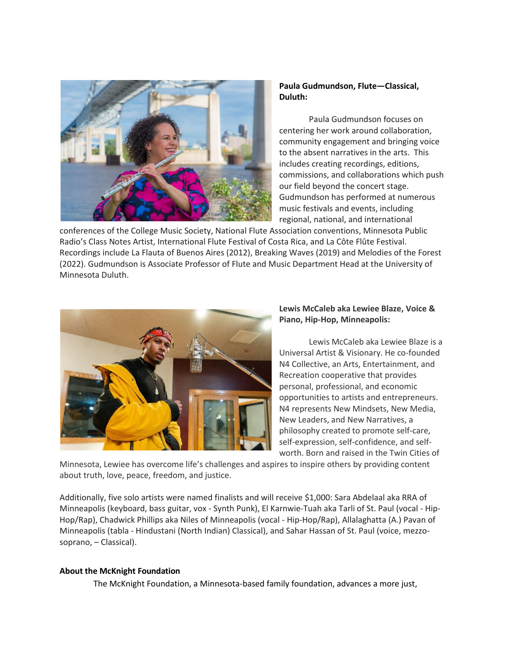

## **Paula Gudmundson, Flute—Classical, Duluth:**

Paula Gudmundson focuses on centering her work around collaboration, community engagement and bringing voice to the absent narratives in the arts. This includes creating recordings, editions, commissions, and collaborations which push our field beyond the concert stage. Gudmundson has performed at numerous music festivals and events, including regional, national, and international

conferences of the College Music Society, National Flute Association conventions, Minnesota Public Radio's Class Notes Artist, International Flute Festival of Costa Rica, and La Côte Flûte Festival. Recordings include La Flauta of Buenos Aires (2012), Breaking Waves (2019) and Melodies of the Forest (2022). Gudmundson is Associate Professor of Flute and Music Department Head at the University of Minnesota Duluth.



## **Lewis McCaleb aka Lewiee Blaze, Voice & Piano, Hip-Hop, Minneapolis:**

Lewis McCaleb aka Lewiee Blaze is a Universal Artist & Visionary. He co-founded N4 Collective, an Arts, Entertainment, and Recreation cooperative that provides personal, professional, and economic opportunities to artists and entrepreneurs. N4 represents New Mindsets, New Media, New Leaders, and New Narratives, a philosophy created to promote self-care, self-expression, self-confidence, and selfworth. Born and raised in the Twin Cities of

Minnesota, Lewiee has overcome life's challenges and aspires to inspire others by providing content about truth, love, peace, freedom, and justice.

Additionally, five solo artists were named finalists and will receive \$1,000: Sara Abdelaal aka RRA of Minneapolis (keyboard, bass guitar, vox - Synth Punk), El Karnwie-Tuah aka Tarli of St. Paul (vocal - Hip-Hop/Rap), Chadwick Phillips aka Niles of Minneapolis (vocal - Hip-Hop/Rap), Allalaghatta (A.) Pavan of Minneapolis (tabla - Hindustani (North Indian) Classical), and Sahar Hassan of St. Paul (voice, mezzosoprano, – Classical).

## **About the McKnight Foundation**

The McKnight Foundation, a Minnesota-based family foundation, advances a more just,